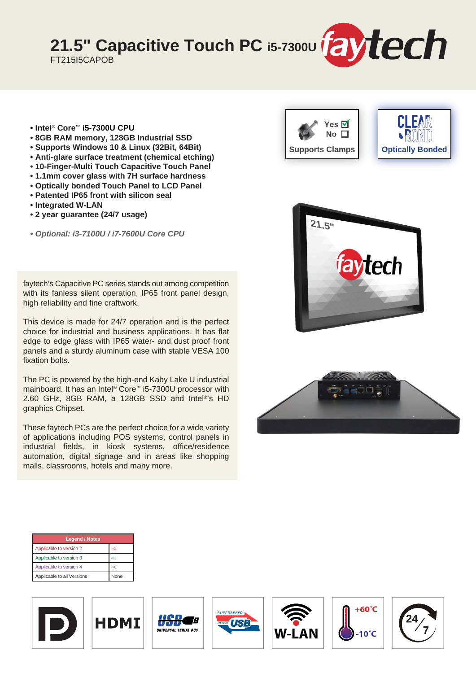21.5" Capacitive Touch PC i5-7300U **[2] tech** 

FT215I5CAPOB

- **Intel® Core™ i5-7300U CPU**
- **8GB RAM memory, 128GB Industrial SSD**
- **Supports Windows 10 & Linux (32Bit, 64Bit)**
- **Anti-glare surface treatment (chemical etching)**
- **10-Finger-Multi Touch Capacitive Touch Panel**
- **1.1mm cover glass with 7H surface hardness**
- **Optically bonded Touch Panel to LCD Panel • Patented IP65 front with silicon seal**
- **Integrated W-LAN**
- **2 year guarantee (24/7 usage)**
- *Optional: i3-7100U / i7-7600U Core CPU*

faytech's Capacitive PC series stands out among competition with its fanless silent operation, IP65 front panel design, high reliability and fine craftwork.

This device is made for 24/7 operation and is the perfect choice for industrial and business applications. It has flat edge to edge glass with IP65 water- and dust proof front panels and a sturdy aluminum case with stable VESA 100 fixation bolts.

The PC is powered by the high-end Kaby Lake U industrial mainboard. It has an Intel® Core™ i5-7300U processor with 2.60 GHz, 8GB RAM, a 128GB SSD and Intel®'s HD graphics Chipset.

These faytech PCs are the perfect choice for a wide variety of applications including POS systems, control panels in industrial fields, in kiosk systems, office/residence automation, digital signage and in areas like shopping malls, classrooms, hotels and many more.













Æ







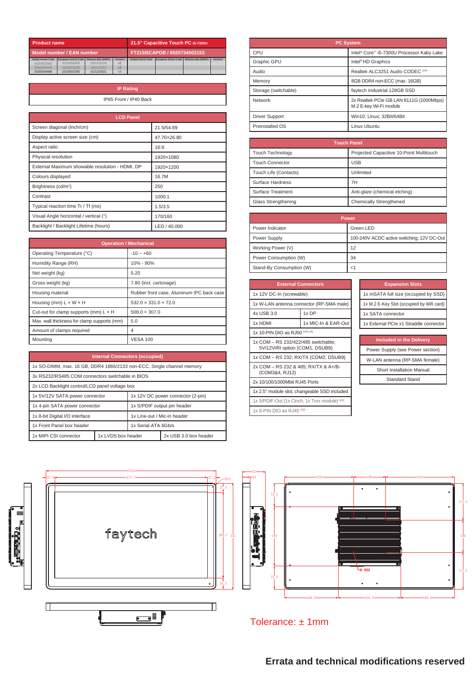| <b>Product name</b>        |                       | 21.5" Capacitive Touch PC i5-7300U |                |                            |                       |                      |          |
|----------------------------|-----------------------|------------------------------------|----------------|----------------------------|-----------------------|----------------------|----------|
| Model number / EAN number  |                       | FT215I5CAPOB / 6920734002153       |                |                            |                       |                      |          |
| <b>Global Article Code</b> | European Article Code | Release date (D/M/Y)               | Version*       | <b>Global Article Code</b> | European Article Code | Release date (D/M/Y) | Version* |
| 3030502968                 | 1010501659            | 03/12/2019                         | V <sub>2</sub> |                            |                       |                      |          |
| 3030504500                 | 1010501939            | 18/01/2021                         | v <sub>3</sub> |                            |                       |                      |          |
| 3030509488                 | 1010502295            | 01/12/2021                         | V <sub>4</sub> |                            |                       |                      |          |

| <b>IP Rating</b>       |
|------------------------|
| IP65 Front / IP40 Back |
|                        |

| <b>LCD Panel</b>                                |              |
|-------------------------------------------------|--------------|
| Screen diagonal (Inch/cm)                       | 21.5/54.69   |
| Display active screen size (cm)                 | 47.70×26.80  |
| Aspect ratio                                    | 16:9         |
| Physical resolution                             | 1920×1080    |
| External Maximum showable resolution - HDMI, DP | 1920×1200    |
| Colours displayed                               | 16.7M        |
| Brightness (cd/m <sup>2</sup> )                 | 250          |
| Contrast                                        | 1000:1       |
| Typical reaction time Tr / Tf (ms)              | 1.5/3.5      |
| Visual Angle horizontal / vertical (°)          | 170/160      |
| Backlight / Backlight Lifetime (hours)          | LED / 40.000 |

| <b>Operation / Mechanical</b>                |                                           |  |
|----------------------------------------------|-------------------------------------------|--|
| Operating Temperature (°C)                   | $-10 - +60$                               |  |
| Humidity Range (RH)                          | 10% - 90%                                 |  |
| Net weight (kg)                              | 5.20                                      |  |
| Gross weight (kg)                            | 7.80 (incl. cartonage)                    |  |
| Housing material                             | Rubber front case, Aluminum IPC back case |  |
| Housing (mm) $L \times W \times H$           | $532.0 \times 331.0 \times 72.0$          |  |
| Cut-out for clamp supports (mm) $L \times H$ | $508.0 \times 307.0$                      |  |
| Max. wall thickness for clamp supports (mm)  | 5.0                                       |  |
| Amount of clamps required                    | 4                                         |  |
| Mounting                                     | <b>VESA 100</b>                           |  |

| <b>Internal Connectors (occupied)</b>                                 |                                             |                                   |  |
|-----------------------------------------------------------------------|---------------------------------------------|-----------------------------------|--|
| 1x SO-DIMM, max, 16 GB, DDR4 1866/2133 non-ECC, Single channel memory |                                             |                                   |  |
| 3x RS232/RS485 COM connectors switchable in BIOS                      |                                             |                                   |  |
| 2x LCD Backlight control/LCD panel voltage box                        |                                             |                                   |  |
| 1x 5V/12V SATA power connector                                        |                                             | 1x 12V DC power connector (2-pin) |  |
| 1x 4-pin SATA power connector                                         |                                             | 1x S/PDIF output pin header       |  |
| 1x 8-bit Digital I/O interface                                        |                                             | 1x Line-out / Mic-in header       |  |
| 1x Front Panel box header                                             |                                             | 1x Serial ATA 6Gb/s               |  |
| 1x MIPI CSI connector                                                 | 1x LVDS box header<br>2x USB 3.0 box header |                                   |  |

| <b>PC System</b>      |                                                                   |  |
|-----------------------|-------------------------------------------------------------------|--|
| CPU                   | Intel <sup>®</sup> Core™ i5-7300U Processor Kaby Lake             |  |
| <b>Graphic GPU</b>    | Intel <sup>®</sup> HD Graphics                                    |  |
| Audio                 | Realtek ALC3251 Audio CODEC (v4)                                  |  |
| Memory                | 8GB DDR4 non-ECC (max. 16GB)                                      |  |
| Storage (switchable)  | faytech Industrial 128GB SSD                                      |  |
| Network               | 2x Realtek PCIe GB LAN 8111G (1000Mbps)<br>M.2 E-key Wi-Fi module |  |
| <b>Driver Support</b> | Win10; Linux; 32Bit/64Bit                                         |  |
| Preinstalled OS       | Linux Ubuntu                                                      |  |

| <b>Touch Panel</b>      |                                          |  |
|-------------------------|------------------------------------------|--|
| <b>Touch Technology</b> | Projected Capacitive 10-Point Multitouch |  |
| <b>Touch Connector</b>  | <b>USB</b>                               |  |
| Touch Life (Contacts)   | Unlimited                                |  |
| Surface Hardness        | 7H                                       |  |
| Surface Treatment       | Anti-glare (chemical etching)            |  |
| Glass Strengthening     | Chemically Strengthened                  |  |

| <b>Power</b>             |                                            |  |
|--------------------------|--------------------------------------------|--|
| Power Indicator          | Green LED                                  |  |
| Power Supply             | 100-240V ACDC active switching; 12V DC-Out |  |
| Working Power (V)        | 12                                         |  |
| Power Consumption (W)    | 34                                         |  |
| Stand-By Consumption (W) |                                            |  |

| <b>External Connectors</b>                                            |                                          |  |  |
|-----------------------------------------------------------------------|------------------------------------------|--|--|
| 1x 12V DC-In (screwable)                                              |                                          |  |  |
|                                                                       | 1x W-LAN antenna connector (RP-SMA male) |  |  |
| 4x USB 3.0                                                            | 1x DP                                    |  |  |
| 1x HDMI                                                               | 1x MIC-In & EAR-Out                      |  |  |
| 1x 10-PIN DIO as RJ50 (v3) (v4)                                       |                                          |  |  |
| 1x COM - RS 232/422/485 switchable:<br>5V/12V/RI option (COM1, DSUB9) |                                          |  |  |
| 1x COM - RS 232; RX/TX (COM2, DSUB9)                                  |                                          |  |  |
| 2x COM - RS 232 & 485; RX/TX & A+/B-<br>(COM3&4, RJ12)                |                                          |  |  |
| 2x 10/100/1000Mbit RJ45 Ports                                         |                                          |  |  |
| 1x 2.5" module slot, changeable SSD included                          |                                          |  |  |
| 1x S/PDIF-Out (1x Cinch, 1x Torx module) (v2)                         |                                          |  |  |
| 1x 8-PIN DIO as RJ45 (v2)                                             |                                          |  |  |

| <b>Expansion Slots</b>                    |
|-------------------------------------------|
| 1x mSATA full size (occupied by SSD)      |
| 1x M.2 E-Key Slot (occupied by Wifi card) |
| 1x SATA connector                         |
| 1x External PCIe x1 Straddle connector    |

| <b>Included in the Delivery</b> |  |
|---------------------------------|--|

| Power Supply (see Power section) |
|----------------------------------|
| W-LAN antenna (RP-SMA female)    |
| <b>Short Installation Manual</b> |
| <b>Standard Stand</b>            |





Tolerance: ± 1mm